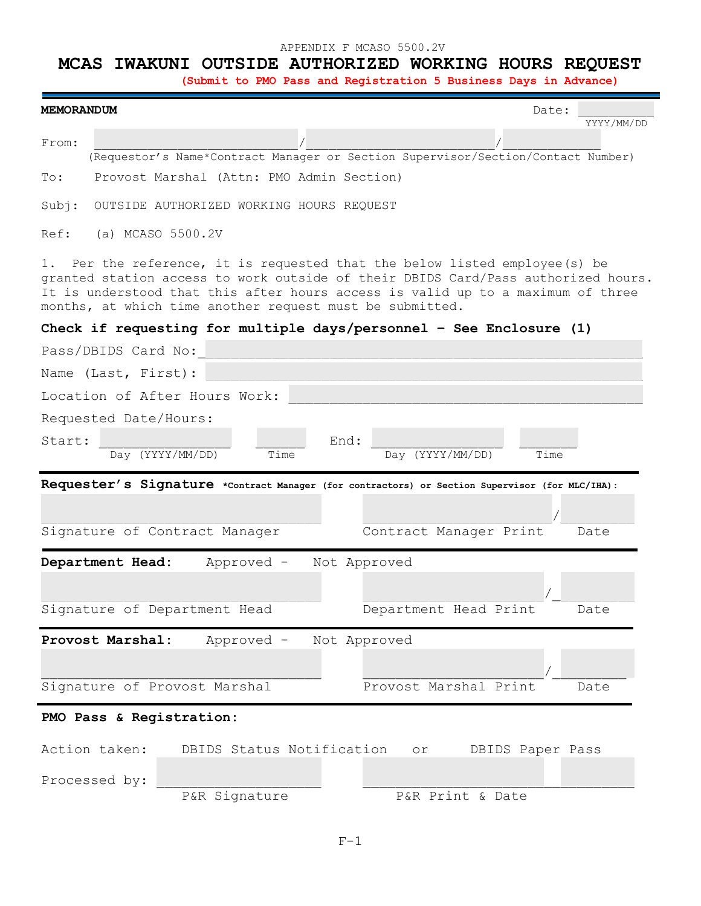## APPENDIX F MCASO 5500.2V

## **MCAS IWAKUNI OUTSIDE AUTHORIZED WORKING HOURS REQUEST**

 **(Submit to PMO Pass and Registration 5 Business Days in Advance)**

| <b>MEMORANDUM</b>                                                                                                                                                                                                                                                                                                  |                                                                                                |      |                  |                        | Date:            | YYYY/MM/DD |  |  |  |  |  |
|--------------------------------------------------------------------------------------------------------------------------------------------------------------------------------------------------------------------------------------------------------------------------------------------------------------------|------------------------------------------------------------------------------------------------|------|------------------|------------------------|------------------|------------|--|--|--|--|--|
| From:                                                                                                                                                                                                                                                                                                              | (Requestor's Name*Contract Manager or Section Supervisor/Section/Contact Number)               |      |                  |                        |                  |            |  |  |  |  |  |
| Provost Marshal (Attn: PMO Admin Section)<br>To:                                                                                                                                                                                                                                                                   |                                                                                                |      |                  |                        |                  |            |  |  |  |  |  |
| Subj:<br>OUTSIDE AUTHORIZED WORKING HOURS REQUEST                                                                                                                                                                                                                                                                  |                                                                                                |      |                  |                        |                  |            |  |  |  |  |  |
| (a) MCASO 5500.2V<br>Ref:                                                                                                                                                                                                                                                                                          |                                                                                                |      |                  |                        |                  |            |  |  |  |  |  |
| Per the reference, it is requested that the below listed employee (s) be<br>1.<br>granted station access to work outside of their DBIDS Card/Pass authorized hours.<br>It is understood that this after hours access is valid up to a maximum of three<br>months, at which time another request must be submitted. |                                                                                                |      |                  |                        |                  |            |  |  |  |  |  |
|                                                                                                                                                                                                                                                                                                                    | Check if requesting for multiple days/personnel - See Enclosure $(1)$                          |      |                  |                        |                  |            |  |  |  |  |  |
| Pass/DBIDS Card No:                                                                                                                                                                                                                                                                                                |                                                                                                |      |                  |                        |                  |            |  |  |  |  |  |
| Name (Last, First):                                                                                                                                                                                                                                                                                                |                                                                                                |      |                  |                        |                  |            |  |  |  |  |  |
|                                                                                                                                                                                                                                                                                                                    | Location of After Hours Work:                                                                  |      |                  |                        |                  |            |  |  |  |  |  |
| Requested Date/Hours:                                                                                                                                                                                                                                                                                              |                                                                                                |      |                  |                        |                  |            |  |  |  |  |  |
| Start:                                                                                                                                                                                                                                                                                                             |                                                                                                | End: |                  |                        |                  |            |  |  |  |  |  |
|                                                                                                                                                                                                                                                                                                                    | Day (YYYY/MM/DD)<br>Time                                                                       |      | Day (YYYY/MM/DD) |                        | Time             |            |  |  |  |  |  |
|                                                                                                                                                                                                                                                                                                                    | Requester's Signature *Contract Manager (for contractors) or Section Supervisor (for MLC/IHA): |      |                  |                        |                  |            |  |  |  |  |  |
|                                                                                                                                                                                                                                                                                                                    | Signature of Contract Manager                                                                  |      |                  | Contract Manager Print |                  | Date       |  |  |  |  |  |
| Department Head:                                                                                                                                                                                                                                                                                                   | Approved -                                                                                     |      | Not Approved     |                        |                  |            |  |  |  |  |  |
|                                                                                                                                                                                                                                                                                                                    |                                                                                                |      |                  |                        |                  |            |  |  |  |  |  |
|                                                                                                                                                                                                                                                                                                                    | Signature of Department Head                                                                   |      |                  | Department Head Print  |                  | Date       |  |  |  |  |  |
| Provost Marshal:                                                                                                                                                                                                                                                                                                   | Approved -                                                                                     |      | Not Approved     |                        |                  |            |  |  |  |  |  |
|                                                                                                                                                                                                                                                                                                                    |                                                                                                |      |                  |                        |                  |            |  |  |  |  |  |
|                                                                                                                                                                                                                                                                                                                    | Signature of Provost Marshal                                                                   |      |                  | Provost Marshal Print  |                  | Date       |  |  |  |  |  |
| PMO Pass & Registration:                                                                                                                                                                                                                                                                                           |                                                                                                |      |                  |                        |                  |            |  |  |  |  |  |
| Action taken:                                                                                                                                                                                                                                                                                                      | DBIDS Status Notification                                                                      |      | $\circ$ r        |                        | DBIDS Paper Pass |            |  |  |  |  |  |
| Processed by:                                                                                                                                                                                                                                                                                                      | P&R Signature                                                                                  |      |                  | P&R Print & Date       |                  |            |  |  |  |  |  |